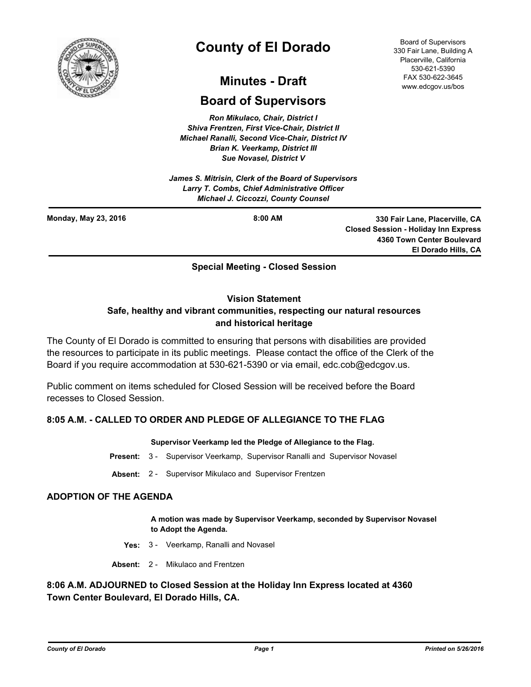

# **County of El Dorado**

# **Minutes - Draft**

# **Board of Supervisors**

*Ron Mikulaco, Chair, District I Shiva Frentzen, First Vice-Chair, District II Michael Ranalli, Second Vice-Chair, District IV Brian K. Veerkamp, District III Sue Novasel, District V* 

*James S. Mitrisin, Clerk of the Board of Supervisors Larry T. Combs, Chief Administrative Officer Michael J. Ciccozzi, County Counsel*

**Monday, May 23, 2016**

**8:00 AM 330 Fair Lane, Placerville, CA Closed Session - Holiday Inn Express 4360 Town Center Boulevard El Dorado Hills, CA**

### **Special Meeting - Closed Session**

#### **Vision Statement**

# **Safe, healthy and vibrant communities, respecting our natural resources and historical heritage**

The County of El Dorado is committed to ensuring that persons with disabilities are provided the resources to participate in its public meetings. Please contact the office of the Clerk of the Board if you require accommodation at 530-621-5390 or via email, edc.cob@edcgov.us.

Public comment on items scheduled for Closed Session will be received before the Board recesses to Closed Session.

# **8:05 A.M. - CALLED TO ORDER AND PLEDGE OF ALLEGIANCE TO THE FLAG**

#### **Supervisor Veerkamp led the Pledge of Allegiance to the Flag.**

- **Present:** 3 Supervisor Veerkamp, Supervisor Ranalli and Supervisor Novasel
- **Absent:** 2 Supervisor Mikulaco and Supervisor Frentzen

#### **ADOPTION OF THE AGENDA**

**A motion was made by Supervisor Veerkamp, seconded by Supervisor Novasel to Adopt the Agenda.**

- **Yes:** 3 Veerkamp, Ranalli and Novasel
- **Absent:** 2 Mikulaco and Frentzen

### **8:06 A.M. ADJOURNED to Closed Session at the Holiday Inn Express located at 4360 Town Center Boulevard, El Dorado Hills, CA.**

Board of Supervisors 330 Fair Lane, Building A Placerville, California 530-621-5390 FAX 530-622-3645 www.edcgov.us/bos